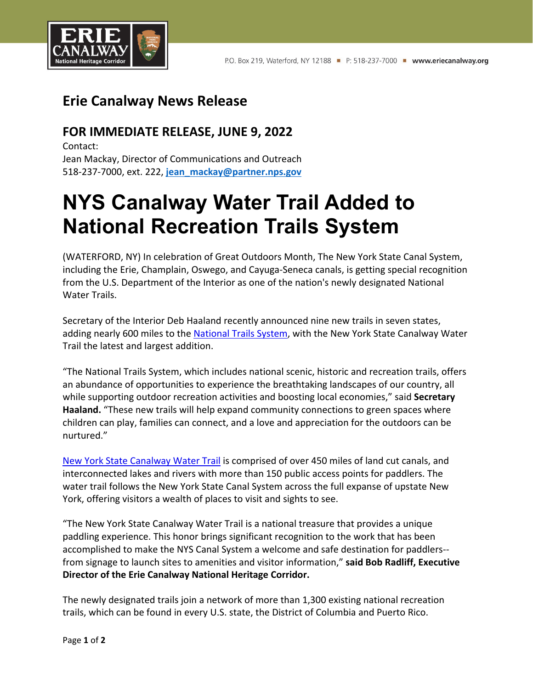

## **Erie Canalway News Release**

## **FOR IMMEDIATE RELEASE, JUNE 9, 2022**

Contact: Jean Mackay, Director of Communications and Outreach 518-237-7000, ext. 222, **[jean\\_mackay@partner.nps.gov](mailto:jean_mackay@partner.nps.gov)**

## **NYS Canalway Water Trail Added to National Recreation Trails System**

(WATERFORD, NY) In celebration of Great Outdoors Month, The New York State Canal System, including the Erie, Champlain, Oswego, and Cayuga-Seneca canals, is getting special recognition from the U.S. Department of the Interior as one of the nation's newly designated National Water Trails.

Secretary of the Interior Deb Haaland recently announced nine new trails in seven states, adding nearly 600 miles to the [National](https://www.nps.gov/subjects/nationaltrailssystem/index.htm) Trails System, with the New York State Canalway Water Trail the latest and largest addition.

"The National Trails System, which includes national scenic, historic and recreation trails, offers an abundance of opportunities to experience the breathtaking landscapes of our country, all while supporting outdoor recreation activities and boosting local economies," said **Secretary Haaland.** "These new trails will help expand community connections to green spaces where children can play, families can connect, and a love and appreciation for the outdoors can be nurtured."

New York State [Canalway](https://eriecanalway.org/explore/watertrail) Water Trail is comprised of over 450 miles of land cut canals, and interconnected lakes and rivers with more than 150 public access points for paddlers. The water trail follows the New York State Canal System across the full expanse of upstate New York, offering visitors a wealth of places to visit and sights to see.

"The New York State Canalway Water Trail is a national treasure that provides a unique paddling experience. This honor brings significant recognition to the work that has been accomplished to make the NYS Canal System a welcome and safe destination for paddlers- from signage to launch sites to amenities and visitor information," **said Bob Radliff, Executive Director of the Erie Canalway National Heritage Corridor.**

The newly designated trails join a network of more than 1,300 existing national recreation trails, which can be found in every U.S. state, the District of Columbia and Puerto Rico.